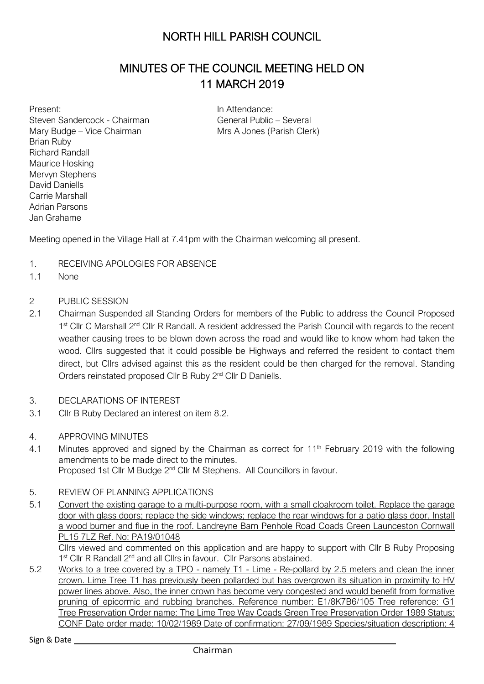# NORTH HILL PARISH COUNCIL

# MINUTES OF THE COUNCIL MEETING HELD ON 11 MARCH 2019

Present: Steven Sandercock - Chairman Mary Budge – Vice Chairman Brian Ruby Richard Randall Maurice Hosking Mervyn Stephens David Daniells Carrie Marshall Adrian Parsons Jan Grahame

In Attendance: General Public – Several Mrs A Jones (Parish Clerk)

Meeting opened in the Village Hall at 7.41pm with the Chairman welcoming all present.

- 1. RECEIVING APOLOGIES FOR ABSENCE
- 1.1 None
- 2 PUBLIC SESSION
- 2.1 Chairman Suspended all Standing Orders for members of the Public to address the Council Proposed 1<sup>st</sup> Cllr C Marshall 2<sup>nd</sup> Cllr R Randall. A resident addressed the Parish Council with regards to the recent weather causing trees to be blown down across the road and would like to know whom had taken the wood. Cllrs suggested that it could possible be Highways and referred the resident to contact them direct, but Cllrs advised against this as the resident could be then charged for the removal. Standing Orders reinstated proposed Cllr B Ruby 2<sup>nd</sup> Cllr D Daniells.
- 3. DECLARATIONS OF INTEREST
- 3.1 Cllr B Ruby Declared an interest on item 8.2.
- 4. APPROVING MINUTES
- 4.1 Minutes approved and signed by the Chairman as correct for 11<sup>th</sup> February 2019 with the following amendments to be made direct to the minutes. Proposed 1st Cllr M Budge 2<sup>nd</sup> Cllr M Stephens. All Councillors in favour.
- 5. REVIEW OF PLANNING APPLICATIONS
- 5.1 Convert the existing garage to a multi-purpose room, with a small cloakroom toilet. Replace the garage door with glass doors; replace the side windows; replace the rear windows for a patio glass door. Install a wood burner and flue in the roof. Landreyne Barn Penhole Road Coads Green Launceston Cornwall PL15 7LZ Ref. No: PA19/01048

Cllrs viewed and commented on this application and are happy to support with Cllr B Ruby Proposing 1<sup>st</sup> Cllr R Randall 2<sup>nd</sup> and all Cllrs in favour. Cllr Parsons abstained.

5.2 Works to a tree covered by a TPO - namely T1 - Lime - Re-pollard by 2.5 meters and clean the inner crown. Lime Tree T1 has previously been pollarded but has overgrown its situation in proximity to HV power lines above. Also, the inner crown has become very congested and would benefit from formative pruning of epicormic and rubbing branches. Reference number: E1/8K7B6/105 Tree reference: G1 Tree Preservation Order name: The Lime Tree Way Coads Green Tree Preservation Order 1989 Status: CONF Date order made: 10/02/1989 Date of confirmation: 27/09/1989 Species/situation description: 4